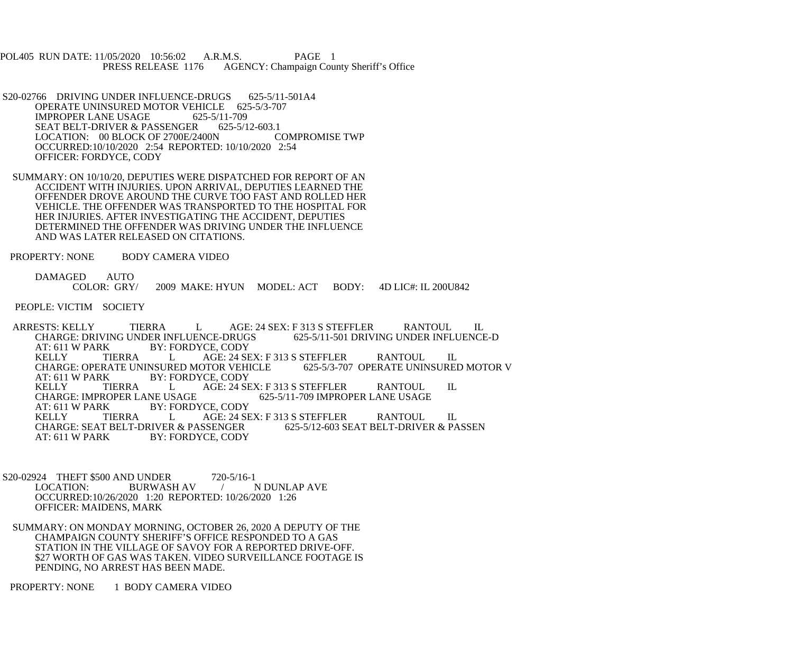POL405 RUN DATE: 11/05/2020 10:56:02 A.R.M.S. PAGE 1<br>PRESS RELEASE 1176 AGENCY: Champaign Cou AGENCY: Champaign County Sheriff's Office

S20-02766 DRIVING UNDER INFLUENCE-DRUGS 625-5/11-501A4 OPERATE UNINSURED MOTOR VEHICLE 625-5/3-707 IMPROPER LANE USAGE 625-5/11-709<br>SEAT BELT-DRIVER & PASSENGER 625-5/12-603.1 SEAT BELT-DRIVER & PASSENGER 625-5/12-603.1<br>LOCATION: 00 BLOCK OF 2700E/2400N COMPROMISE TWP LOCATION: 00 BLOCK OF 2700E/2400N OCCURRED:10/10/2020 2:54 REPORTED: 10/10/2020 2:54 OFFICER: FORDYCE, CODY

 SUMMARY: ON 10/10/20, DEPUTIES WERE DISPATCHED FOR REPORT OF AN ACCIDENT WITH INJURIES. UPON ARRIVAL, DEPUTIES LEARNED THE OFFENDER DROVE AROUND THE CURVE TOO FAST AND ROLLED HER VEHICLE. THE OFFENDER WAS TRANSPORTED TO THE HOSPITAL FOR HER INJURIES. AFTER INVESTIGATING THE ACCIDENT, DEPUTIES DETERMINED THE OFFENDER WAS DRIVING UNDER THE INFLUENCE AND WAS LATER RELEASED ON CITATIONS.

PROPERTY: NONE BODY CAMERA VIDEO

DAMAGED AUTO<br>COLOR: GRY/ 2009 MAKE: HYUN MODEL: ACT BODY: 4D LIC#: IL 200U842

PEOPLE: VICTIM SOCIETY

ARRESTS: KELLY TIERRA L AGE: 24 SEX: F 313 S STEFFLER RANTOUL IL CHARGE: DRIVING UNDER INFLUENCE-DRUGS 625-5/11-501 DRIVING UNDER INFLUENCI CHARGE: DRIVING UNDER INFLUENCE-DRUGS 625-5/11-501 DRIVING UNDER INFLUENCE-D<br>AT: 611 W PARK BY: FORDYCE. CODY AT: 611 W PARK BY: FORDYCE, CODY<br>
KELLY TIERRA L AGE: 24 SE AGE: 24 SEX: F 313 S STEFFLER<br>TOR VEHICLE 625-5/3-707 OPERATE UNINSURED MOTOR V CHARGE: OPERATE UNINSURED MOTOR VEHICLE<br>AT: 611 W PARK BY: FORDYCE. CODY AT: 611 W PARK BY: FORDYCE, CODY<br>
KELLY TIERRA L AGE: 24 SI KELLY TIERRA L AGE: 24 SEX: F 313 S STEFFLER RANTOUL IL CHARGE: IMPROPER LANE USAGE 625-5/11-709 IMPROPER LANE USAGE 625-5/11-709 IMPROPER LANE USAGE AT: 611 W PARK BY: FORDYCE, CODY<br>
KELLY TIERRA L AGE: 24 SE L AGE: 24 SEX: F 313 S STEFFLER RANTOUL IL<br>ER & PASSENGER 625-5/12-603 SEAT BELT-DRIVER & PASSEN CHARGE: SEAT BELT-DRIVER & PASSENGER<br>AT: 611 W PARK BY: FORDYCE. CODY BY: FORDYCE, CODY

S20-02924 THEFT \$500 AND UNDER 720-5/16-1<br>LOCATION: BURWASH AV / 1 / N DUNLAP AVE OCCURRED:10/26/2020 1:20 REPORTED: 10/26/2020 1:26 OFFICER: MAIDENS, MARK

 SUMMARY: ON MONDAY MORNING, OCTOBER 26, 2020 A DEPUTY OF THE CHAMPAIGN COUNTY SHERIFF'S OFFICE RESPONDED TO A GAS STATION IN THE VILLAGE OF SAVOY FOR A REPORTED DRIVE-OFF. \$27 WORTH OF GAS WAS TAKEN. VIDEO SURVEILLANCE FOOTAGE IS PENDING, NO ARREST HAS BEEN MADE.

PROPERTY: NONE 1 BODY CAMERA VIDEO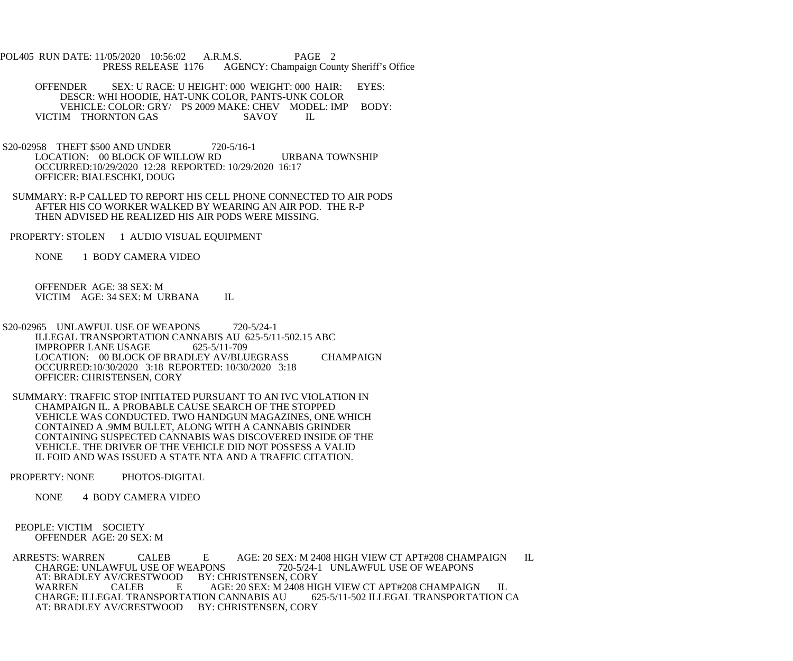- POL405 RUN DATE: 11/05/2020 10:56:02 A.R.M.S. PAGE 2<br>PRESS RELEASE 1176 AGENCY: Champaign Cou AGENCY: Champaign County Sheriff's Office
	- OFFENDER SEX: U RACE: U HEIGHT: 000 WEIGHT: 000 HAIR: EYES: DESCR: WHI HOODIE, HAT-UNK COLOR, PANTS-UNK COLOR VEHICLE: COLOR: GRY/ PS 2009 MAKE: CHEV MODEL: IMP BODY:<br>IM THORNTON GAS SAVOY IL VICTIM THORNTON GAS SAVOY IL
- S20-02958 THEFT \$500 AND UNDER 720-5/16-1 LOCATION: 00 BLOCK OF WILLOW RD URBANA TOWNSHIP OCCURRED:10/29/2020 12:28 REPORTED: 10/29/2020 16:17 OFFICER: BIALESCHKI, DOUG
- SUMMARY: R-P CALLED TO REPORT HIS CELL PHONE CONNECTED TO AIR PODS AFTER HIS CO WORKER WALKED BY WEARING AN AIR POD. THE R-P THEN ADVISED HE REALIZED HIS AIR PODS WERE MISSING.
- PROPERTY: STOLEN 1 AUDIO VISUAL EQUIPMENT
	- NONE 1 BODY CAMERA VIDEO

 OFFENDER AGE: 38 SEX: M VICTIM AGE: 34 SEX: M URBANA IL

- S20-02965 UNLAWFUL USE OF WEAPONS 720-5/24-1 ILLEGAL TRANSPORTATION CANNABIS AU 625-5/11-502.15 ABC<br>IMPROPER LANE USAGE 625-5/11-709 IMPROPER LANE USAGE LOCATION: 00 BLOCK OF BRADLEY AV/BLUEGRASS CHAMPAIGN OCCURRED:10/30/2020 3:18 REPORTED: 10/30/2020 3:18 OFFICER: CHRISTENSEN, CORY
- SUMMARY: TRAFFIC STOP INITIATED PURSUANT TO AN IVC VIOLATION IN CHAMPAIGN IL. A PROBABLE CAUSE SEARCH OF THE STOPPED VEHICLE WAS CONDUCTED. TWO HANDGUN MAGAZINES, ONE WHICH CONTAINED A .9MM BULLET, ALONG WITH A CANNABIS GRINDER CONTAINING SUSPECTED CANNABIS WAS DISCOVERED INSIDE OF THE VEHICLE. THE DRIVER OF THE VEHICLE DID NOT POSSESS A VALID IL FOID AND WAS ISSUED A STATE NTA AND A TRAFFIC CITATION.
- PROPERTY: NONE PHOTOS-DIGITAL
	- NONE 4 BODY CAMERA VIDEO
- PEOPLE: VICTIM SOCIETY OFFENDER AGE: 20 SEX: M

ARRESTS: WARREN CALEB  $E$  AGE: 20 SEX: M 2408 HIGH VIEW CT APT#208 CHAMPAIGN IL CHARGE: UNLAWFUL USE OF WEAPONS  $720-5/24-1$  UNLAWFUL USE OF WEAPONS APONS 720-5/24-1 UNLAWFUL USE OF WEAPONS BY: CHRISTENSEN, CORY AT: BRADLEY AV/CRESTWOOD<br>WARREN CALEB E AGE: 20 SEX: M 2408 HIGH VIEW CT APT#208 CHAMPAIGN IL<br>N CANNABIS AU 625-5/11-502 ILLEGAL TRANSPORTATION CA CHARGE: ILLEGAL TRANSPORTATION CANNABIS AU AT: BRADLEY AV/CRESTWOOD BY: CHRISTENSEN, CORY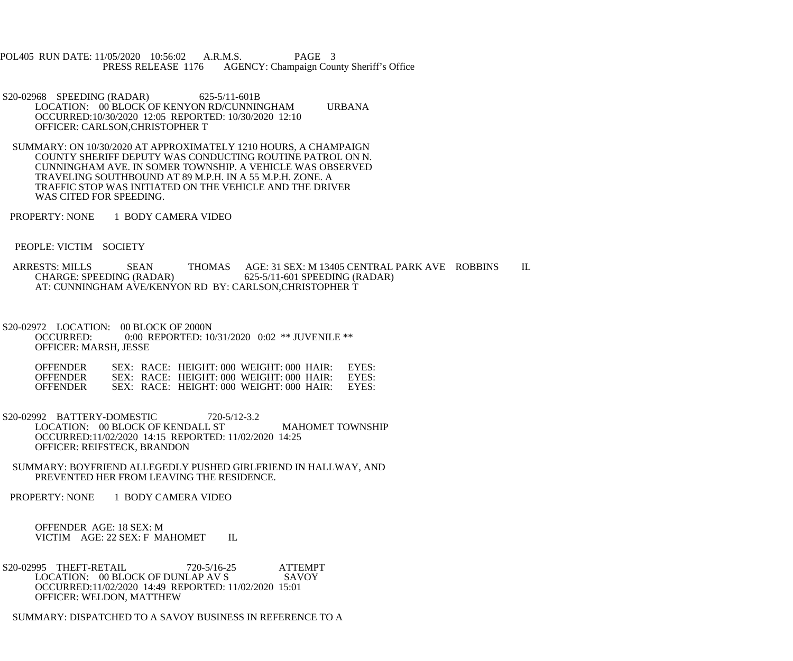POL405 RUN DATE: 11/05/2020 10:56:02 A.R.M.S. PAGE 3<br>PRESS RELEASE 1176 AGENCY: Champaign Cou AGENCY: Champaign County Sheriff's Office

- S20-02968 SPEEDING (RADAR) 625-5/11-601B LOCATION: 00 BLOCK OF KENYON RD/CUNNINGHAM URBANA OCCURRED:10/30/2020 12:05 REPORTED: 10/30/2020 12:10 OFFICER: CARLSON,CHRISTOPHER T
- SUMMARY: ON 10/30/2020 AT APPROXIMATELY 1210 HOURS, A CHAMPAIGN COUNTY SHERIFF DEPUTY WAS CONDUCTING ROUTINE PATROL ON N. CUNNINGHAM AVE. IN SOMER TOWNSHIP. A VEHICLE WAS OBSERVED TRAVELING SOUTHBOUND AT 89 M.P.H. IN A 55 M.P.H. ZONE. A TRAFFIC STOP WAS INITIATED ON THE VEHICLE AND THE DRIVER WAS CITED FOR SPEEDING.
- PROPERTY: NONE 1 BODY CAMERA VIDEO
- PEOPLE: VICTIM SOCIETY
- ARRESTS: MILLS SEAN THOMAS AGE: 31 SEX: M 13405 CENTRAL PARK AVE ROBBINS IL CHARGE: SPEEDING (RADAR) 625-5/11-601 SPEEDING (RADAR) 625-5/11-601 SPEEDING (RADAR) AT: CUNNINGHAM AVE/KENYON RD BY: CARLSON,CHRISTOPHER T
- S20-02972 LOCATION: 00 BLOCK OF 2000N<br>OCCURRED: 0:00 REPORTED: 10 0:00 REPORTED: 10/31/2020 0:02 \*\* JUVENILE \*\* OFFICER: MARSH, JESSE

| <b>OFFENDER</b> |  | SEX: RACE: HEIGHT: 000 WEIGHT: 000 HAIR:   | EYES: |
|-----------------|--|--------------------------------------------|-------|
| <b>OFFENDER</b> |  | $SEX: RACE: HEIGHT: 000 WEIGHT: 000 HAIR:$ | EYES: |
| <b>OFFENDER</b> |  | SEX: RACE: HEIGHT: 000 WEIGHT: 000 HAIR:   | EYES  |

- S20-02992 BATTERY-DOMESTIC 720-5/12-3.2 LOCATION: 00 BLOCK OF KENDALL ST MAHOMET TOWNSHIP OCCURRED:11/02/2020 14:15 REPORTED: 11/02/2020 14:25 OFFICER: REIFSTECK, BRANDON
- SUMMARY: BOYFRIEND ALLEGEDLY PUSHED GIRLFRIEND IN HALLWAY, AND PREVENTED HER FROM LEAVING THE RESIDENCE.
- PROPERTY: NONE 1 BODY CAMERA VIDEO

 OFFENDER AGE: 18 SEX: M VICTIM AGE: 22 SEX: F MAHOMET IL

S20-02995 THEFT-RETAIL 720-5/16-25 ATTEMPT<br>LOCATION: 00 BLOCK OF DUNLAP AV S SAVOY LOCATION: 00 BLOCK OF DUNLAP AV S OCCURRED:11/02/2020 14:49 REPORTED: 11/02/2020 15:01 OFFICER: WELDON, MATTHEW

SUMMARY: DISPATCHED TO A SAVOY BUSINESS IN REFERENCE TO A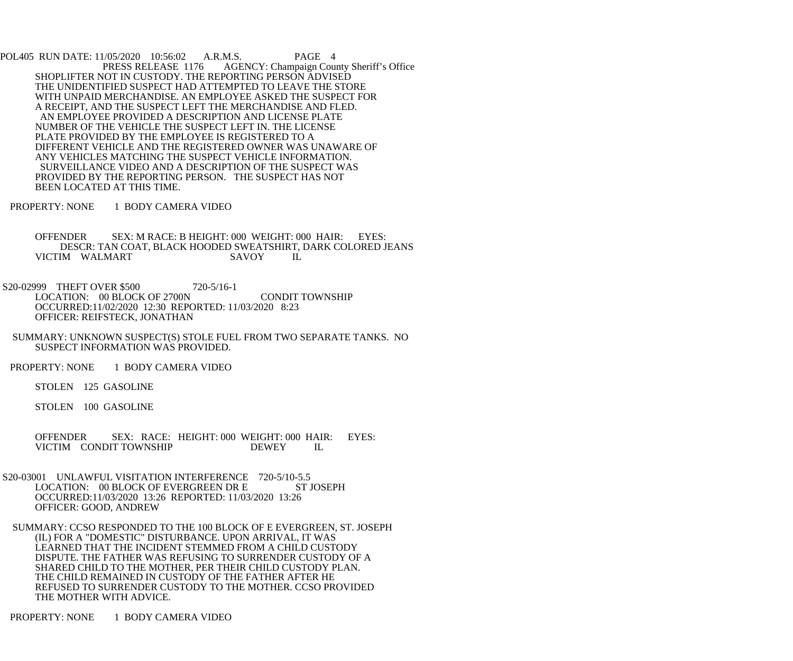POL405 RUN DATE: 11/05/2020 10:56:02 A.R.M.S. PAGE 4<br>PRESS RELEASE 1176 AGENCY: Champaign Cou AGENCY: Champaign County Sheriff's Office SHOPLIFTER NOT IN CUSTODY. THE REPORTING PERSON ADVISED THE UNIDENTIFIED SUSPECT HAD ATTEMPTED TO LEAVE THE STORE WITH UNPAID MERCHANDISE. AN EMPLOYEE ASKED THE SUSPECT FOR A RECEIPT, AND THE SUSPECT LEFT THE MERCHANDISE AND FLED. AN EMPLOYEE PROVIDED A DESCRIPTION AND LICENSE PLATE NUMBER OF THE VEHICLE THE SUSPECT LEFT IN. THE LICENSE PLATE PROVIDED BY THE EMPLOYEE IS REGISTERED TO A DIFFERENT VEHICLE AND THE REGISTERED OWNER WAS UNAWARE OF ANY VEHICLES MATCHING THE SUSPECT VEHICLE INFORMATION. SURVEILLANCE VIDEO AND A DESCRIPTION OF THE SUSPECT WAS PROVIDED BY THE REPORTING PERSON. THE SUSPECT HAS NOT BEEN LOCATED AT THIS TIME.

PROPERTY: NONE 1 BODY CAMERA VIDEO

 OFFENDER SEX: M RACE: B HEIGHT: 000 WEIGHT: 000 HAIR: EYES: DESCR: TAN COAT, BLACK HOODED SWEATSHIRT, DARK COLORED JEANS<br>IM WALMART SAVOY IL VICTIM WALMART

S20-02999 THEFT OVER \$500 720-5/16-1 LOCATION: 00 BLOCK OF 2700N CONDIT TOWNSHIP OCCURRED:11/02/2020 12:30 REPORTED: 11/03/2020 8:23 OFFICER: REIFSTECK, JONATHAN

- SUMMARY: UNKNOWN SUSPECT(S) STOLE FUEL FROM TWO SEPARATE TANKS. NO SUSPECT INFORMATION WAS PROVIDED.
- PROPERTY: NONE 1 BODY CAMERA VIDEO

STOLEN 125 GASOLINE

STOLEN 100 GASOLINE

 OFFENDER SEX: RACE: HEIGHT: 000 WEIGHT: 000 HAIR: EYES: VICTIM CONDIT TOWNSHIP DEWEY IL

- S20-03001 UNLAWFUL VISITATION INTERFERENCE 720-5/10-5.5 LOCATION: 00 BLOCK OF EVERGREEN DR E ST JOSEPH OCCURRED:11/03/2020 13:26 REPORTED: 11/03/2020 13:26 OFFICER: GOOD, ANDREW
- SUMMARY: CCSO RESPONDED TO THE 100 BLOCK OF E EVERGREEN, ST. JOSEPH (IL) FOR A "DOMESTIC" DISTURBANCE. UPON ARRIVAL, IT WAS LEARNED THAT THE INCIDENT STEMMED FROM A CHILD CUSTODY DISPUTE. THE FATHER WAS REFUSING TO SURRENDER CUSTODY OF A SHARED CHILD TO THE MOTHER, PER THEIR CHILD CUSTODY PLAN. THE CHILD REMAINED IN CUSTODY OF THE FATHER AFTER HE REFUSED TO SURRENDER CUSTODY TO THE MOTHER. CCSO PROVIDED THE MOTHER WITH ADVICE.

PROPERTY: NONE 1 BODY CAMERA VIDEO